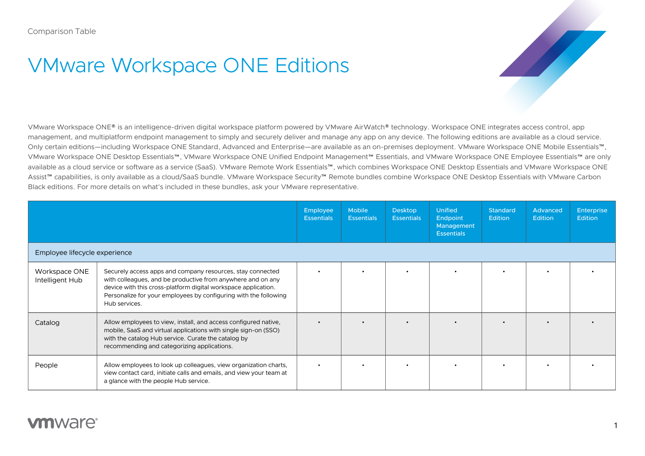## VMware Workspace ONE Editions

VMware Workspace ONE® is an intelligence-driven digital workspace platform powered by VMware AirWatch® technology. Workspace ONE integrates access control, app management, and multiplatform endpoint management to simply and securely deliver and manage any app on any device. The following editions are available as a cloud service. Only certain editions—including Workspace ONE Standard, Advanced and Enterprise—are available as an on-premises deployment. VMware Workspace ONE Mobile Essentials™, VMware Workspace ONE Desktop Essentials™, VMware Workspace ONE Unified Endpoint Management™ Essentials, and VMware Workspace ONE Employee Essentials™ are only available as a cloud service or software as a service (SaaS). VMware Remote Work Essentials™, which combines Workspace ONE Desktop Essentials and VMware Workspace ONE Assist™ capabilities, is only available as a cloud/SaaS bundle. VMware Workspace Security™ Remote bundles combine Workspace ONE Desktop Essentials with VMware Carbon Black editions. For more details on what's included in these bundles, ask your VMware representative.

|                                  |                                                                                                                                                                                                                                                                                  | <b>Employee</b><br><b>Essentials</b> | <b>Mobile</b><br><b>Essentials</b> | <b>Desktop</b><br><b>Essentials</b> | <b>Unified</b><br>Endpoint<br>Management<br><b>Essentials</b> | <b>Standard</b><br><b>Edition</b> | Advanced<br><b>Edition</b> | <b>Enterprise</b><br><b>Edition</b> |
|----------------------------------|----------------------------------------------------------------------------------------------------------------------------------------------------------------------------------------------------------------------------------------------------------------------------------|--------------------------------------|------------------------------------|-------------------------------------|---------------------------------------------------------------|-----------------------------------|----------------------------|-------------------------------------|
| Employee lifecycle experience    |                                                                                                                                                                                                                                                                                  |                                      |                                    |                                     |                                                               |                                   |                            |                                     |
| Workspace ONE<br>Intelligent Hub | Securely access apps and company resources, stay connected<br>with colleagues, and be productive from anywhere and on any<br>device with this cross-platform digital workspace application.<br>Personalize for your employees by configuring with the following<br>Hub services. |                                      |                                    |                                     |                                                               |                                   |                            |                                     |
| Catalog                          | Allow employees to view, install, and access configured native,<br>mobile, SaaS and virtual applications with single sign-on (SSO)<br>with the catalog Hub service. Curate the catalog by<br>recommending and categorizing applications.                                         |                                      |                                    |                                     |                                                               |                                   |                            |                                     |
| People                           | Allow employees to look up colleagues, view organization charts,<br>view contact card, initiate calls and emails, and view your team at<br>a glance with the people Hub service.                                                                                                 |                                      |                                    |                                     |                                                               |                                   |                            |                                     |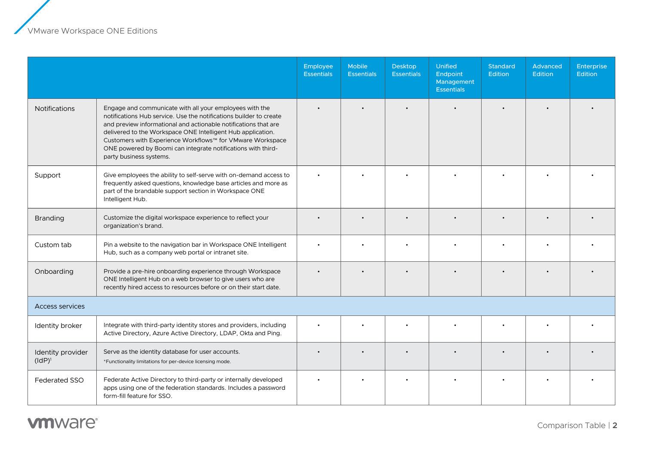|                               |                                                                                                                                                                                                                                                                                                                                                                                                                         | Employee<br><b>Essentials</b> | Mobile<br><b>Essentials</b> | <b>Desktop</b><br><b>Essentials</b> | <b>Unified</b><br>Endpoint<br>Management<br><b>Essentials</b> | <b>Standard</b><br>Edition | Advanced<br>Edition | Enterprise<br>Edition |
|-------------------------------|-------------------------------------------------------------------------------------------------------------------------------------------------------------------------------------------------------------------------------------------------------------------------------------------------------------------------------------------------------------------------------------------------------------------------|-------------------------------|-----------------------------|-------------------------------------|---------------------------------------------------------------|----------------------------|---------------------|-----------------------|
| <b>Notifications</b>          | Engage and communicate with all your employees with the<br>notifications Hub service. Use the notifications builder to create<br>and preview informational and actionable notifications that are<br>delivered to the Workspace ONE Intelligent Hub application.<br>Customers with Experience Workflows™ for VMware Workspace<br>ONE powered by Boomi can integrate notifications with third-<br>party business systems. |                               |                             |                                     |                                                               |                            |                     |                       |
| Support                       | Give employees the ability to self-serve with on-demand access to<br>frequently asked questions, knowledge base articles and more as<br>part of the brandable support section in Workspace ONE<br>Intelligent Hub.                                                                                                                                                                                                      |                               |                             |                                     |                                                               |                            |                     |                       |
| <b>Branding</b>               | Customize the digital workspace experience to reflect your<br>organization's brand.                                                                                                                                                                                                                                                                                                                                     |                               |                             |                                     |                                                               |                            |                     |                       |
| Custom tab                    | Pin a website to the navigation bar in Workspace ONE Intelligent<br>Hub, such as a company web portal or intranet site.                                                                                                                                                                                                                                                                                                 |                               |                             |                                     |                                                               |                            |                     |                       |
| Onboarding                    | Provide a pre-hire onboarding experience through Workspace<br>ONE Intelligent Hub on a web browser to give users who are<br>recently hired access to resources before or on their start date.                                                                                                                                                                                                                           |                               |                             |                                     |                                                               |                            |                     |                       |
| <b>Access services</b>        |                                                                                                                                                                                                                                                                                                                                                                                                                         |                               |                             |                                     |                                                               |                            |                     |                       |
| Identity broker               | Integrate with third-party identity stores and providers, including<br>Active Directory, Azure Active Directory, LDAP, Okta and Ping.                                                                                                                                                                                                                                                                                   |                               |                             |                                     |                                                               |                            |                     |                       |
| Identity provider<br>$(dP)^1$ | Serve as the identity database for user accounts.<br>*Functionality limitations for per-device licensing mode.                                                                                                                                                                                                                                                                                                          |                               |                             |                                     |                                                               |                            |                     |                       |
| <b>Federated SSO</b>          | Federate Active Directory to third-party or internally developed<br>apps using one of the federation standards. Includes a password<br>form-fill feature for SSO.                                                                                                                                                                                                                                                       |                               |                             |                                     |                                                               |                            |                     |                       |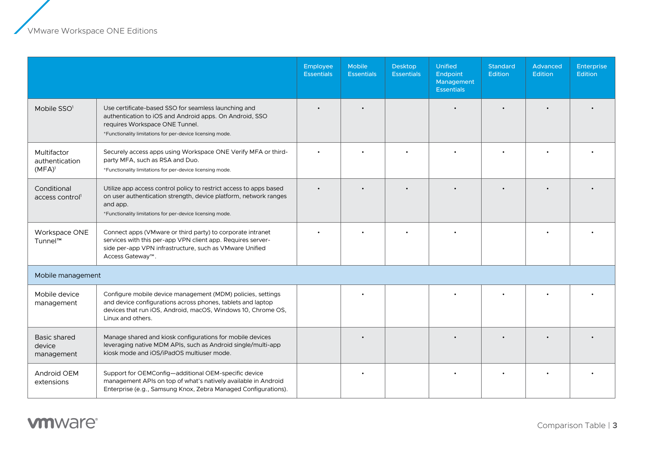z

|                                            |                                                                                                                                                                                                                       | Employee<br><b>Essentials</b> | <b>Mobile</b><br><b>Essentials</b> | <b>Desktop</b><br><b>Essentials</b> | <b>Unified</b><br>Endpoint<br>Management<br><b>Essentials</b> | <b>Standard</b><br><b>Edition</b> | <b>Advanced</b><br><b>Edition</b> | <b>Enterprise</b><br><b>Edition</b> |
|--------------------------------------------|-----------------------------------------------------------------------------------------------------------------------------------------------------------------------------------------------------------------------|-------------------------------|------------------------------------|-------------------------------------|---------------------------------------------------------------|-----------------------------------|-----------------------------------|-------------------------------------|
| Mobile SSO <sup>1</sup>                    | Use certificate-based SSO for seamless launching and<br>authentication to iOS and Android apps. On Android, SSO<br>requires Workspace ONE Tunnel.<br>*Functionality limitations for per-device licensing mode.        |                               |                                    |                                     |                                                               |                                   |                                   |                                     |
| Multifactor<br>authentication<br>$(MFA)^1$ | Securely access apps using Workspace ONE Verify MFA or third-<br>party MFA, such as RSA and Duo.<br>*Functionality limitations for per-device licensing mode.                                                         |                               |                                    |                                     |                                                               |                                   |                                   |                                     |
| Conditional<br>access control <sup>1</sup> | Utilize app access control policy to restrict access to apps based<br>on user authentication strength, device platform, network ranges<br>and app.<br>*Functionality limitations for per-device licensing mode.       |                               |                                    |                                     |                                                               |                                   |                                   |                                     |
| Workspace ONE<br>Tunnel™                   | Connect apps (VMware or third party) to corporate intranet<br>services with this per-app VPN client app. Requires server-<br>side per-app VPN infrastructure, such as VMware Unified<br>Access Gateway <sup>™</sup> . |                               |                                    |                                     |                                                               |                                   |                                   |                                     |
| Mobile management                          |                                                                                                                                                                                                                       |                               |                                    |                                     |                                                               |                                   |                                   |                                     |
| Mobile device<br>management                | Configure mobile device management (MDM) policies, settings<br>and device configurations across phones, tablets and laptop<br>devices that run iOS, Android, macOS, Windows 10, Chrome OS,<br>Linux and others.       |                               |                                    |                                     |                                                               |                                   |                                   |                                     |
| Basic shared<br>device<br>management       | Manage shared and kiosk configurations for mobile devices<br>leveraging native MDM APIs, such as Android single/multi-app<br>kiosk mode and iOS/iPadOS multiuser mode.                                                |                               |                                    |                                     |                                                               |                                   |                                   |                                     |
| Android OEM<br>extensions                  | Support for OEMConfig-additional OEM-specific device<br>management APIs on top of what's natively available in Android<br>Enterprise (e.g., Samsung Knox, Zebra Managed Configurations).                              |                               |                                    |                                     |                                                               |                                   |                                   |                                     |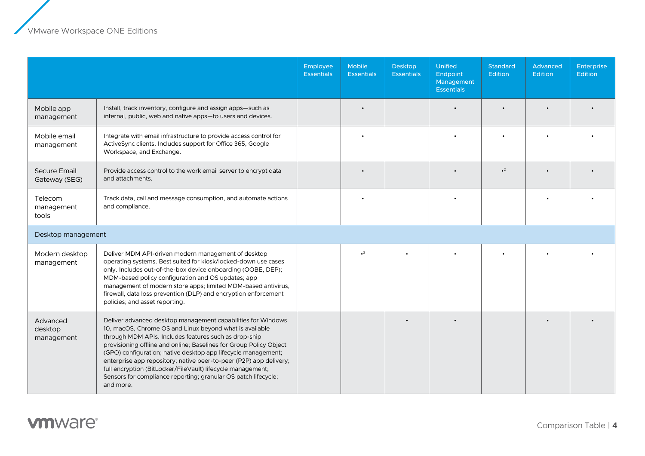|                                      |                                                                                                                                                                                                                                                                                                                                                                                                                                                                                                                                             | Employee<br><b>Essentials</b> | Mobile<br><b>Essentials</b> | <b>Desktop</b><br><b>Essentials</b> | <b>Unified</b><br>Endpoint<br>Management<br><b>Essentials</b> | <b>Standard</b><br><b>Edition</b> | Advanced<br><b>Edition</b> | <b>Enterprise</b><br><b>Edition</b> |
|--------------------------------------|---------------------------------------------------------------------------------------------------------------------------------------------------------------------------------------------------------------------------------------------------------------------------------------------------------------------------------------------------------------------------------------------------------------------------------------------------------------------------------------------------------------------------------------------|-------------------------------|-----------------------------|-------------------------------------|---------------------------------------------------------------|-----------------------------------|----------------------------|-------------------------------------|
| Mobile app<br>management             | Install, track inventory, configure and assign apps-such as<br>internal, public, web and native apps-to users and devices.                                                                                                                                                                                                                                                                                                                                                                                                                  |                               |                             |                                     |                                                               |                                   |                            |                                     |
| Mobile email<br>management           | Integrate with email infrastructure to provide access control for<br>ActiveSync clients. Includes support for Office 365, Google<br>Workspace, and Exchange.                                                                                                                                                                                                                                                                                                                                                                                |                               |                             |                                     |                                                               |                                   |                            |                                     |
| <b>Secure Email</b><br>Gateway (SEG) | Provide access control to the work email server to encrypt data<br>and attachments.                                                                                                                                                                                                                                                                                                                                                                                                                                                         |                               | $\bullet$                   |                                     |                                                               | $^2$                              |                            |                                     |
| Telecom<br>management<br>tools       | Track data, call and message consumption, and automate actions<br>and compliance.                                                                                                                                                                                                                                                                                                                                                                                                                                                           |                               |                             |                                     |                                                               |                                   |                            |                                     |
| Desktop management                   |                                                                                                                                                                                                                                                                                                                                                                                                                                                                                                                                             |                               |                             |                                     |                                                               |                                   |                            |                                     |
| Modern desktop<br>management         | Deliver MDM API-driven modern management of desktop<br>operating systems. Best suited for kiosk/locked-down use cases<br>only. Includes out-of-the-box device onboarding (OOBE, DEP);<br>MDM-based policy configuration and OS updates; app<br>management of modern store apps; limited MDM-based antivirus,<br>firewall, data loss prevention (DLP) and encryption enforcement<br>policies; and asset reporting.                                                                                                                           |                               | $\cdot^3$                   |                                     |                                                               |                                   |                            |                                     |
| Advanced<br>desktop<br>management    | Deliver advanced desktop management capabilities for Windows<br>10, macOS, Chrome OS and Linux beyond what is available<br>through MDM APIs. Includes features such as drop-ship<br>provisioning offline and online; Baselines for Group Policy Object<br>(GPO) configuration; native desktop app lifecycle management;<br>enterprise app repository; native peer-to-peer (P2P) app delivery;<br>full encryption (BitLocker/FileVault) lifecycle management;<br>Sensors for compliance reporting; granular OS patch lifecycle;<br>and more. |                               |                             |                                     |                                                               |                                   |                            |                                     |

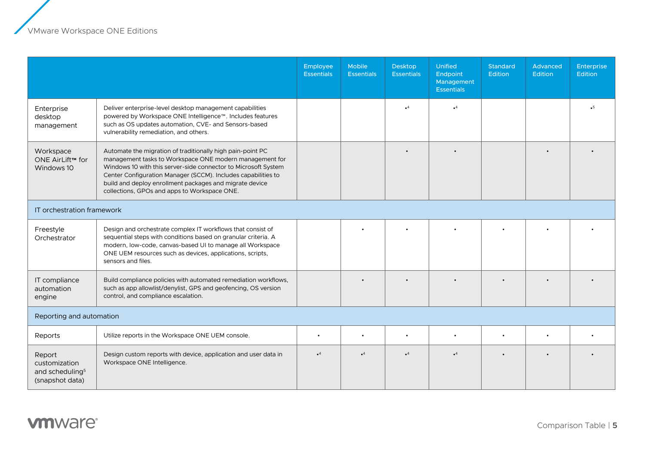$\overline{a}$ 

|                                                                           |                                                                                                                                                                                                                                                                                                                                                                     | Employee<br><b>Essentials</b> | <b>Mobile</b><br><b>Essentials</b> | <b>Desktop</b><br><b>Essentials</b> | <b>Unified</b><br>Endpoint<br>Management<br><b>Essentials</b> | <b>Standard</b><br>Edition | Advanced<br><b>Edition</b> | <b>Enterprise</b><br><b>Edition</b> |
|---------------------------------------------------------------------------|---------------------------------------------------------------------------------------------------------------------------------------------------------------------------------------------------------------------------------------------------------------------------------------------------------------------------------------------------------------------|-------------------------------|------------------------------------|-------------------------------------|---------------------------------------------------------------|----------------------------|----------------------------|-------------------------------------|
| Enterprise<br>desktop<br>management                                       | Deliver enterprise-level desktop management capabilities<br>powered by Workspace ONE Intelligence™. Includes features<br>such as OS updates automation, CVE- and Sensors-based<br>vulnerability remediation, and others.                                                                                                                                            |                               |                                    | $\cdot^4$                           | $\cdot^4$                                                     |                            |                            | $\overline{\phantom{0}}$            |
| Workspace<br>ONE AirLift™ for<br>Windows 10                               | Automate the migration of traditionally high pain-point PC<br>management tasks to Workspace ONE modern management for<br>Windows 10 with this server-side connector to Microsoft System<br>Center Configuration Manager (SCCM). Includes capabilities to<br>build and deploy enrollment packages and migrate device<br>collections, GPOs and apps to Workspace ONE. |                               |                                    |                                     |                                                               |                            |                            |                                     |
| IT orchestration framework                                                |                                                                                                                                                                                                                                                                                                                                                                     |                               |                                    |                                     |                                                               |                            |                            |                                     |
| Freestyle<br>Orchestrator                                                 | Design and orchestrate complex IT workflows that consist of<br>sequential steps with conditions based on granular criteria. A<br>modern, low-code, canvas-based UI to manage all Workspace<br>ONE UEM resources such as devices, applications, scripts,<br>sensors and files.                                                                                       |                               |                                    |                                     |                                                               |                            |                            |                                     |
| IT compliance<br>automation<br>engine                                     | Build compliance policies with automated remediation workflows,<br>such as app allowlist/denylist, GPS and geofencing, OS version<br>control, and compliance escalation.                                                                                                                                                                                            |                               |                                    |                                     |                                                               |                            |                            |                                     |
| Reporting and automation                                                  |                                                                                                                                                                                                                                                                                                                                                                     |                               |                                    |                                     |                                                               |                            |                            |                                     |
| Reports                                                                   | Utilize reports in the Workspace ONE UEM console.                                                                                                                                                                                                                                                                                                                   | $\bullet$                     | $\bullet$                          | $\bullet$                           | $\bullet$                                                     | $\bullet$                  |                            |                                     |
| Report<br>customization<br>and scheduling <sup>5</sup><br>(snapshot data) | Design custom reports with device, application and user data in<br>Workspace ONE Intelligence.                                                                                                                                                                                                                                                                      | $\cdot^4$                     | $\cdot^4$                          | $\cdot$ <sup>4</sup>                | $^4$                                                          |                            |                            |                                     |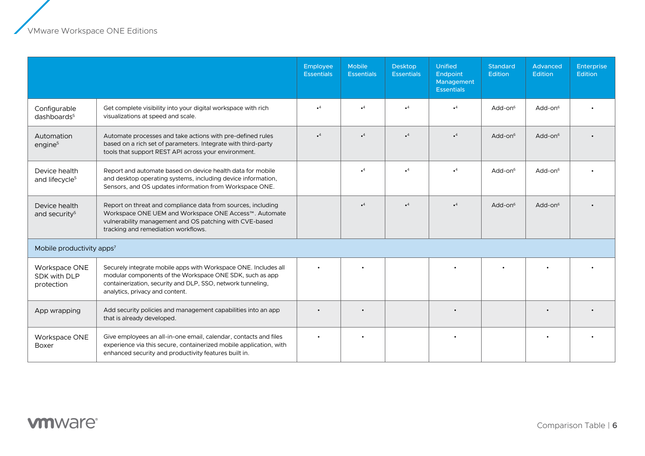z

|                                             |                                                                                                                                                                                                                               | Employee<br><b>Essentials</b> | Mobile<br><b>Essentials</b> | <b>Desktop</b><br><b>Essentials</b> | <b>Unified</b><br>Endpoint<br>Management<br><b>Essentials</b> | <b>Standard</b><br>Edition | Advanced<br>Edition | <b>Enterprise</b><br><b>Edition</b> |
|---------------------------------------------|-------------------------------------------------------------------------------------------------------------------------------------------------------------------------------------------------------------------------------|-------------------------------|-----------------------------|-------------------------------------|---------------------------------------------------------------|----------------------------|---------------------|-------------------------------------|
| Configurable<br>dashboards <sup>5</sup>     | Get complete visibility into your digital workspace with rich<br>visualizations at speed and scale.                                                                                                                           | $\cdot^4$                     | $\bullet^4$                 | $\cdot^4$                           | $\cdot^4$                                                     | Add-on $6$                 | Add-on $6$          |                                     |
| Automation<br>engine <sup>5</sup>           | Automate processes and take actions with pre-defined rules<br>based on a rich set of parameters. Integrate with third-party<br>tools that support REST API across your environment.                                           | $\cdot^4$                     | $\cdot^4$                   | $\cdot^4$                           | $\cdot^4$                                                     | Add-on $6$                 | Add-on $6$          |                                     |
| Device health<br>and lifecycle <sup>5</sup> | Report and automate based on device health data for mobile<br>and desktop operating systems, including device information,<br>Sensors, and OS updates information from Workspace ONE.                                         |                               | $\cdot^4$                   | $^{\circ}$                          | $^4$                                                          | Add-on $6$                 | Add-on <sup>6</sup> |                                     |
| Device health<br>and security $5$           | Report on threat and compliance data from sources, including<br>Workspace ONE UEM and Workspace ONE Access™. Automate<br>vulnerability management and OS patching with CVE-based<br>tracking and remediation workflows.       |                               | $\cdot^4$                   | $\cdot^4$                           | $\bullet$ <sup>4</sup>                                        | Add-on $6$                 | Add-on $6$          |                                     |
| Mobile productivity apps <sup>7</sup>       |                                                                                                                                                                                                                               |                               |                             |                                     |                                                               |                            |                     |                                     |
| Workspace ONE<br>SDK with DLP<br>protection | Securely integrate mobile apps with Workspace ONE. Includes all<br>modular components of the Workspace ONE SDK, such as app<br>containerization, security and DLP, SSO, network tunneling,<br>analytics, privacy and content. |                               |                             |                                     |                                                               |                            |                     |                                     |
| App wrapping                                | Add security policies and management capabilities into an app<br>that is already developed.                                                                                                                                   |                               |                             |                                     |                                                               |                            |                     |                                     |
| Workspace ONE<br>Boxer                      | Give employees an all-in-one email, calendar, contacts and files<br>experience via this secure, containerized mobile application, with<br>enhanced security and productivity features built in.                               |                               |                             |                                     |                                                               |                            |                     |                                     |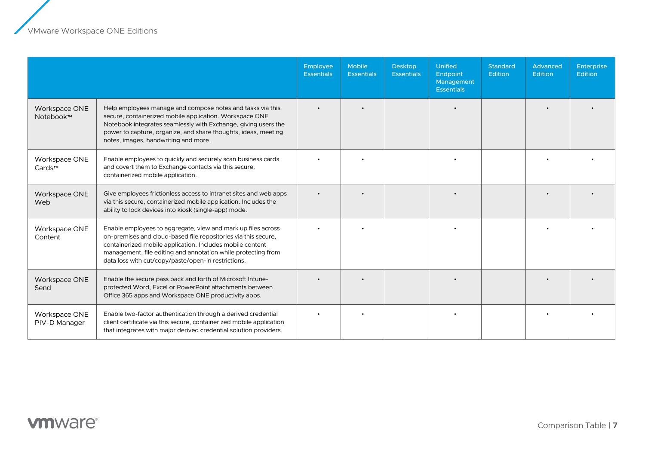|                                |                                                                                                                                                                                                                                                                                                                     | Employee<br><b>Essentials</b> | <b>Mobile</b><br><b>Essentials</b> | <b>Desktop</b><br><b>Essentials</b> | <b>Unified</b><br>Endpoint<br>Management<br><b>Essentials</b> | <b>Standard</b><br><b>Edition</b> | Advanced<br><b>Edition</b> | <b>Enterprise</b><br>Edition |
|--------------------------------|---------------------------------------------------------------------------------------------------------------------------------------------------------------------------------------------------------------------------------------------------------------------------------------------------------------------|-------------------------------|------------------------------------|-------------------------------------|---------------------------------------------------------------|-----------------------------------|----------------------------|------------------------------|
| Workspace ONE<br>Notebook™     | Help employees manage and compose notes and tasks via this<br>secure, containerized mobile application. Workspace ONE<br>Notebook integrates seamlessly with Exchange, giving users the<br>power to capture, organize, and share thoughts, ideas, meeting<br>notes, images, handwriting and more.                   |                               |                                    |                                     |                                                               |                                   |                            |                              |
| Workspace ONE<br>Cards™        | Enable employees to quickly and securely scan business cards<br>and covert them to Exchange contacts via this secure,<br>containerized mobile application.                                                                                                                                                          |                               |                                    |                                     |                                                               |                                   |                            |                              |
| Workspace ONE<br>Web           | Give employees frictionless access to intranet sites and web apps<br>via this secure, containerized mobile application. Includes the<br>ability to lock devices into kiosk (single-app) mode.                                                                                                                       |                               |                                    |                                     |                                                               |                                   |                            |                              |
| Workspace ONE<br>Content       | Enable employees to aggregate, view and mark up files across<br>on-premises and cloud-based file repositories via this secure,<br>containerized mobile application. Includes mobile content<br>management, file editing and annotation while protecting from<br>data loss with cut/copy/paste/open-in restrictions. |                               |                                    |                                     |                                                               |                                   |                            |                              |
| Workspace ONE<br>Send          | Enable the secure pass back and forth of Microsoft Intune-<br>protected Word, Excel or PowerPoint attachments between<br>Office 365 apps and Workspace ONE productivity apps.                                                                                                                                       |                               |                                    |                                     |                                                               |                                   |                            |                              |
| Workspace ONE<br>PIV-D Manager | Enable two-factor authentication through a derived credential<br>client certificate via this secure, containerized mobile application<br>that integrates with major derived credential solution providers.                                                                                                          |                               |                                    |                                     |                                                               |                                   |                            |                              |

## **vmware**<sup>®</sup>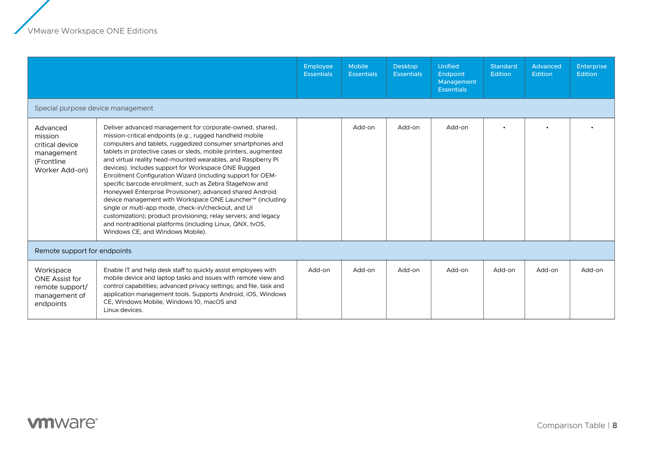|                                                                                      |                                                                                                                                                                                                                                                                                                                                                                                                                                                                                                                                                                                                                                                                                                                                                                                                                                                               | <b>Employee</b><br><b>Essentials</b> | <b>Mobile</b><br><b>Essentials</b> | <b>Desktop</b><br><b>Essentials</b> | Unified<br>Endpoint<br>Management<br><b>Essentials</b> | <b>Standard</b><br><b>Edition</b> | <b>Advanced</b><br><b>Edition</b> | <b>Enterprise</b><br><b>Edition</b> |
|--------------------------------------------------------------------------------------|---------------------------------------------------------------------------------------------------------------------------------------------------------------------------------------------------------------------------------------------------------------------------------------------------------------------------------------------------------------------------------------------------------------------------------------------------------------------------------------------------------------------------------------------------------------------------------------------------------------------------------------------------------------------------------------------------------------------------------------------------------------------------------------------------------------------------------------------------------------|--------------------------------------|------------------------------------|-------------------------------------|--------------------------------------------------------|-----------------------------------|-----------------------------------|-------------------------------------|
| Special purpose device management                                                    |                                                                                                                                                                                                                                                                                                                                                                                                                                                                                                                                                                                                                                                                                                                                                                                                                                                               |                                      |                                    |                                     |                                                        |                                   |                                   |                                     |
| Advanced<br>mission<br>critical device<br>management<br>(Frontline<br>Worker Add-on) | Deliver advanced management for corporate-owned, shared,<br>mission-critical endpoints (e.g., rugged handheld mobile<br>computers and tablets, ruggedized consumer smartphones and<br>tablets in protective cases or sleds, mobile printers, augmented<br>and virtual reality head-mounted wearables, and Raspberry Pi<br>devices). Includes support for Workspace ONE Rugged<br>Enrollment Configuration Wizard (including support for OEM-<br>specific barcode enrollment, such as Zebra StageNow and<br>Honeywell Enterprise Provisioner); advanced shared Android<br>device management with Workspace ONE Launcher™ (including<br>single or multi-app mode, check-in/checkout, and UI<br>customization); product provisioning; relay servers; and legacy<br>and nontraditional platforms (including Linux, QNX, tvOS,<br>Windows CE, and Windows Mobile). |                                      | Add-on                             | Add-on                              | Add-on                                                 |                                   |                                   |                                     |
| Remote support for endpoints                                                         |                                                                                                                                                                                                                                                                                                                                                                                                                                                                                                                                                                                                                                                                                                                                                                                                                                                               |                                      |                                    |                                     |                                                        |                                   |                                   |                                     |
| Workspace<br><b>ONE Assist for</b><br>remote support/<br>management of<br>endpoints  | Enable IT and help desk staff to quickly assist employees with<br>mobile device and laptop tasks and issues with remote view and<br>control capabilities; advanced privacy settings; and file, task and<br>application management tools. Supports Android, iOS, Windows<br>CE, Windows Mobile, Windows 10, macOS and<br>Linux devices.                                                                                                                                                                                                                                                                                                                                                                                                                                                                                                                        | Add-on                               | Add-on                             | Add-on                              | Add-on                                                 | Add-on                            | Add-on                            | Add-on                              |

## **vmware**<sup>®</sup>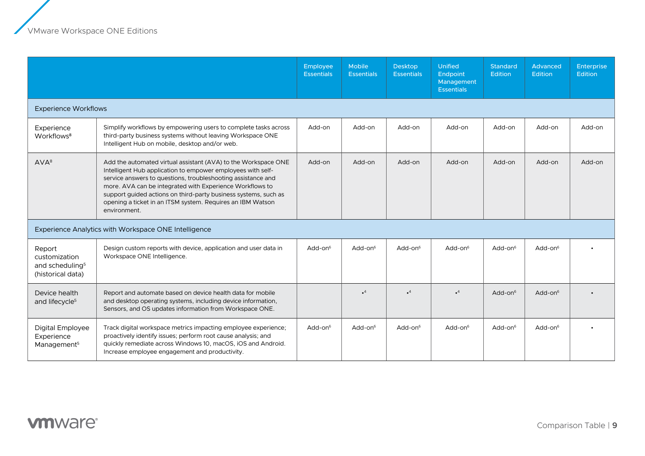$\overline{a}$ 

|                                                                             |                                                                                                                                                                                                                                                                                                                                                                                                            | Employee<br><b>Essentials</b> | <b>Mobile</b><br><b>Essentials</b> | <b>Desktop</b><br><b>Essentials</b> | <b>Unified</b><br>Endpoint<br>Management<br><b>Essentials</b> | <b>Standard</b><br><b>Edition</b> | Advanced<br>Edition | <b>Enterprise</b><br><b>Edition</b> |
|-----------------------------------------------------------------------------|------------------------------------------------------------------------------------------------------------------------------------------------------------------------------------------------------------------------------------------------------------------------------------------------------------------------------------------------------------------------------------------------------------|-------------------------------|------------------------------------|-------------------------------------|---------------------------------------------------------------|-----------------------------------|---------------------|-------------------------------------|
| <b>Experience Workflows</b>                                                 |                                                                                                                                                                                                                                                                                                                                                                                                            |                               |                                    |                                     |                                                               |                                   |                     |                                     |
| Experience<br>Workflows <sup>8</sup>                                        | Simplify workflows by empowering users to complete tasks across<br>third-party business systems without leaving Workspace ONE<br>Intelligent Hub on mobile, desktop and/or web.                                                                                                                                                                                                                            | Add-on                        | Add-on                             | Add-on                              | Add-on                                                        | Add-on                            | Add-on              | Add-on                              |
| AVA <sup>8</sup>                                                            | Add the automated virtual assistant (AVA) to the Workspace ONE<br>Intelligent Hub application to empower employees with self-<br>service answers to questions, troubleshooting assistance and<br>more. AVA can be integrated with Experience Workflows to<br>support guided actions on third-party business systems, such as<br>opening a ticket in an ITSM system. Requires an IBM Watson<br>environment. | Add-on                        | Add-on                             | Add-on                              | Add-on                                                        | Add-on                            | Add-on              | Add-on                              |
|                                                                             | Experience Analytics with Workspace ONE Intelligence                                                                                                                                                                                                                                                                                                                                                       |                               |                                    |                                     |                                                               |                                   |                     |                                     |
| Report<br>customization<br>and scheduling <sup>5</sup><br>(historical data) | Design custom reports with device, application and user data in<br>Workspace ONE Intelligence.                                                                                                                                                                                                                                                                                                             | Add-on $6$                    | Add-on $6$                         | Add-on $6$                          | $Add-on6$                                                     | $Add-on6$                         | $Add-on6$           |                                     |
| Device health<br>and lifecycle <sup>5</sup>                                 | Report and automate based on device health data for mobile<br>and desktop operating systems, including device information,<br>Sensors, and OS updates information from Workspace ONE.                                                                                                                                                                                                                      |                               | $\cdot$ <sup>4</sup>               | $\bullet^4$                         | $\cdot^4$                                                     | $Add-on6$                         | Add-on $6$          |                                     |
| Digital Employee<br>Experience<br>Management <sup>5</sup>                   | Track digital workspace metrics impacting employee experience;<br>proactively identify issues; perform root cause analysis; and<br>quickly remediate across Windows 10, macOS, iOS and Android.<br>Increase employee engagement and productivity.                                                                                                                                                          | $Add-on6$                     | $Add-on6$                          | Add-on $6$                          | $Add-on6$                                                     | $Add-on6$                         | $Add-on6$           |                                     |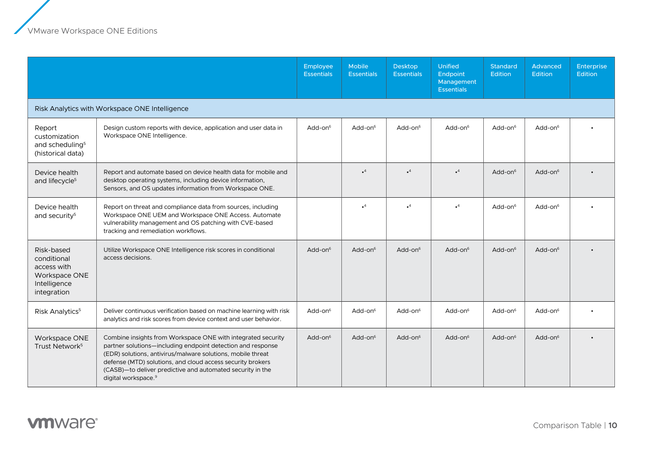|                                                                                          |                                                                                                                                                                                                                                                                                                                                                           | Employee<br><b>Essentials</b> | <b>Mobile</b><br><b>Essentials</b> | <b>Desktop</b><br><b>Essentials</b> | Unified<br>Endpoint<br>Management<br><b>Essentials</b> | <b>Standard</b><br><b>Edition</b> | <b>Advanced</b><br><b>Edition</b> | Enterprise<br><b>Edition</b> |
|------------------------------------------------------------------------------------------|-----------------------------------------------------------------------------------------------------------------------------------------------------------------------------------------------------------------------------------------------------------------------------------------------------------------------------------------------------------|-------------------------------|------------------------------------|-------------------------------------|--------------------------------------------------------|-----------------------------------|-----------------------------------|------------------------------|
|                                                                                          | Risk Analytics with Workspace ONE Intelligence                                                                                                                                                                                                                                                                                                            |                               |                                    |                                     |                                                        |                                   |                                   |                              |
| Report<br>customization<br>and scheduling <sup>5</sup><br>(historical data)              | Design custom reports with device, application and user data in<br>Workspace ONE Intelligence.                                                                                                                                                                                                                                                            | Add-on $6$                    | Add-on $6$                         | Add-on <sup>6</sup>                 | Add-on $6$                                             | Add-on $6$                        | Add-on $6$                        |                              |
| Device health<br>and lifecycle <sup>5</sup>                                              | Report and automate based on device health data for mobile and<br>desktop operating systems, including device information,<br>Sensors, and OS updates information from Workspace ONE.                                                                                                                                                                     |                               | $\cdot^4$                          | $\bullet^4$                         | $\cdot$ <sup>4</sup>                                   | Add-on $6$                        | Add-on $6$                        |                              |
| Device health<br>and security <sup>5</sup>                                               | Report on threat and compliance data from sources, including<br>Workspace ONE UEM and Workspace ONE Access. Automate<br>vulnerability management and OS patching with CVE-based<br>tracking and remediation workflows.                                                                                                                                    |                               | $\cdot^4$                          | $\bullet^4$                         | $\cdot$ <sup>4</sup>                                   | Add-on $6$                        | Add-on <sup>6</sup>               |                              |
| Risk-based<br>conditional<br>access with<br>Workspace ONE<br>Intelligence<br>integration | Utilize Workspace ONE Intelligence risk scores in conditional<br>access decisions.                                                                                                                                                                                                                                                                        | $Add-on6$                     | Add-on $6$                         | $Add-on6$                           | Add-on $6$                                             | Add-on $6$                        | Add-on $6$                        |                              |
| Risk Analytics <sup>5</sup>                                                              | Deliver continuous verification based on machine learning with risk<br>analytics and risk scores from device context and user behavior.                                                                                                                                                                                                                   | Add-on <sup>6</sup>           | $Add-on6$                          | Add-on $6$                          | Add-on $6$                                             | Add-on $6$                        | Add-on $6$                        |                              |
| Workspace ONE<br>Trust Network <sup>5</sup>                                              | Combine insights from Workspace ONE with integrated security<br>partner solutions-including endpoint detection and response<br>(EDR) solutions, antivirus/malware solutions, mobile threat<br>defense (MTD) solutions, and cloud access security brokers<br>(CASB)-to deliver predictive and automated security in the<br>digital workspace. <sup>9</sup> | $Add-on6$                     | Add-on $6$                         | $Add-on6$                           | Add-on $6$                                             | Add-on $6$                        | Add-on $6$                        |                              |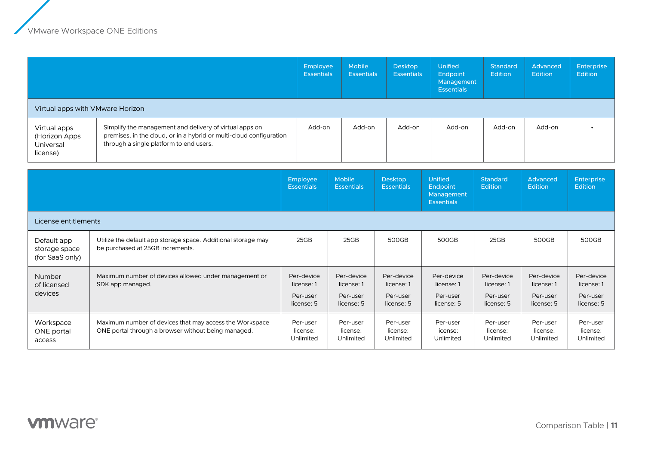|                                                        |                                                                                                                                                                           | Employee<br><b>Essentials</b>                      | <b>Mobile</b><br><b>Essentials</b>                 | <b>Desktop</b><br><b>Essentials</b>                | <b>Unified</b><br>Endpoint<br>Management<br><b>Essentials</b> | <b>Standard</b><br><b>Edition</b>                  | Advanced<br>Edition                                | <b>Enterprise</b><br><b>Edition</b>                |
|--------------------------------------------------------|---------------------------------------------------------------------------------------------------------------------------------------------------------------------------|----------------------------------------------------|----------------------------------------------------|----------------------------------------------------|---------------------------------------------------------------|----------------------------------------------------|----------------------------------------------------|----------------------------------------------------|
| Virtual apps with VMware Horizon                       |                                                                                                                                                                           |                                                    |                                                    |                                                    |                                                               |                                                    |                                                    |                                                    |
| Virtual apps<br>(Horizon Apps<br>Universal<br>license) | Simplify the management and delivery of virtual apps on<br>premises, in the cloud, or in a hybrid or multi-cloud configuration<br>through a single platform to end users. | Add-on                                             | Add-on                                             | Add-on                                             | Add-on                                                        | Add-on                                             | Add-on                                             |                                                    |
|                                                        |                                                                                                                                                                           | Employee<br><b>Essentials</b>                      | Mobile<br><b>Essentials</b>                        | <b>Desktop</b><br><b>Essentials</b>                | <b>Unified</b><br>Endpoint<br>Management<br><b>Essentials</b> | <b>Standard</b><br><b>Edition</b>                  | Advanced<br><b>Edition</b>                         | <b>Enterprise</b><br><b>Edition</b>                |
| License entitlements                                   |                                                                                                                                                                           |                                                    |                                                    |                                                    |                                                               |                                                    |                                                    |                                                    |
| Default app<br>storage space<br>(for SaaS only)        | Utilize the default app storage space. Additional storage may<br>be purchased at 25GB increments.                                                                         | 25GB                                               | 25GB                                               | 500GB                                              | 500GB                                                         | 25GB                                               | 500GB                                              | 500GB                                              |
| Number<br>of licensed<br>devices                       | Maximum number of devices allowed under management or<br>SDK app managed.                                                                                                 | Per-device<br>license: 1<br>Per-user<br>license: 5 | Per-device<br>license: 1<br>Per-user<br>license: 5 | Per-device<br>license: 1<br>Per-user<br>license: 5 | Per-device<br>license: 1<br>Per-user<br>license: 5            | Per-device<br>license: 1<br>Per-user<br>license: 5 | Per-device<br>license: 1<br>Per-user<br>license: 5 | Per-device<br>license: 1<br>Per-user<br>license: 5 |
| Workspace                                              | Maximum number of devices that may access the Workspace                                                                                                                   | Per-user                                           | Per-user                                           | Per-user                                           | Per-user                                                      | Per-user                                           | Per-user                                           | Per-user                                           |

license: Unlimited

license: Unlimited

license: Unlimited

license: Unlimited

license: Unlimited

license: Unlimited

ONE portal access

ONE portal through a browser without being managed.

license: Unlimited